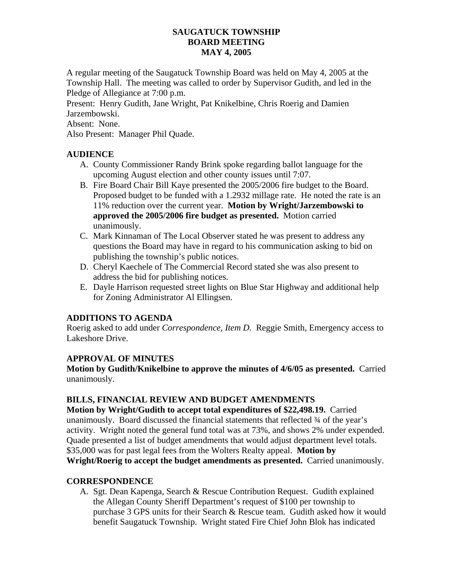### **SAUGATUCK TOWNSHIP BOARD MEETING MAY 4, 2005**

A regular meeting of the Saugatuck Township Board was held on May 4, 2005 at the Township Hall. The meeting was called to order by Supervisor Gudith, and led in the Pledge of Allegiance at 7:00 p.m.

Present: Henry Gudith, Jane Wright, Pat Knikelbine, Chris Roerig and Damien Jarzembowski.

Absent: None.

Also Present: Manager Phil Quade.

### **AUDIENCE**

- A. County Commissioner Randy Brink spoke regarding ballot language for the upcoming August election and other county issues until 7:07.
- B. Fire Board Chair Bill Kaye presented the 2005/2006 fire budget to the Board. Proposed budget to be funded with a 1.2932 millage rate. He noted the rate is an 11% reduction over the current year. **Motion by Wright/Jarzembowski to approved the 2005/2006 fire budget as presented.** Motion carried unanimously.
- C. Mark Kinnaman of The Local Observer stated he was present to address any questions the Board may have in regard to his communication asking to bid on publishing the township's public notices.
- D. Cheryl Kaechele of The Commercial Record stated she was also present to address the bid for publishing notices.
- E. Dayle Harrison requested street lights on Blue Star Highway and additional help for Zoning Administrator Al Ellingsen.

### **ADDITIONS TO AGENDA**

Roerig asked to add under *Correspondence, Item D.* Reggie Smith, Emergency access to Lakeshore Drive.

# **APPROVAL OF MINUTES**

**Motion by Gudith/Knikelbine to approve the minutes of 4/6/05 as presented.** Carried unanimously.

# **BILLS, FINANCIAL REVIEW AND BUDGET AMENDMENTS**

**Motion by Wright/Gudith to accept total expenditures of \$22,498.19.** Carried unanimously. Board discussed the financial statements that reflected ¾ of the year's activity. Wright noted the general fund total was at 73%, and shows 2% under expended. Quade presented a list of budget amendments that would adjust department level totals. \$35,000 was for past legal fees from the Wolters Realty appeal. **Motion by Wright/Roerig to accept the budget amendments as presented.** Carried unanimously.

### **CORRESPONDENCE**

A. Sgt. Dean Kapenga, Search & Rescue Contribution Request. Gudith explained the Allegan County Sheriff Department's request of \$100 per township to purchase 3 GPS units for their Search & Rescue team. Gudith asked how it would benefit Saugatuck Township. Wright stated Fire Chief John Blok has indicated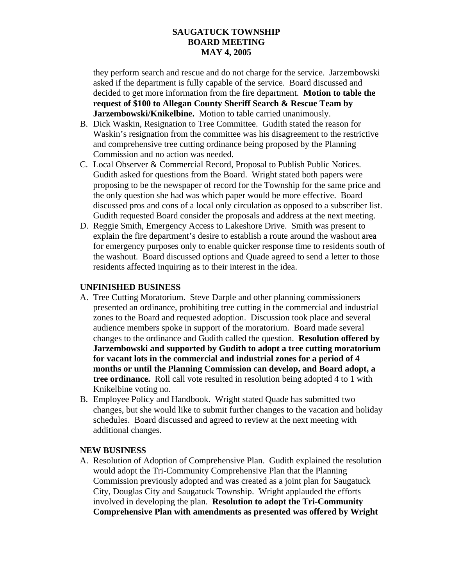### **SAUGATUCK TOWNSHIP BOARD MEETING MAY 4, 2005**

they perform search and rescue and do not charge for the service. Jarzembowski asked if the department is fully capable of the service. Board discussed and decided to get more information from the fire department. **Motion to table the request of \$100 to Allegan County Sheriff Search & Rescue Team by Jarzembowski/Knikelbine.** Motion to table carried unanimously.

- B. Dick Waskin, Resignation to Tree Committee. Gudith stated the reason for Waskin's resignation from the committee was his disagreement to the restrictive and comprehensive tree cutting ordinance being proposed by the Planning Commission and no action was needed.
- C. Local Observer & Commercial Record, Proposal to Publish Public Notices. Gudith asked for questions from the Board. Wright stated both papers were proposing to be the newspaper of record for the Township for the same price and the only question she had was which paper would be more effective. Board discussed pros and cons of a local only circulation as opposed to a subscriber list. Gudith requested Board consider the proposals and address at the next meeting.
- D. Reggie Smith, Emergency Access to Lakeshore Drive. Smith was present to explain the fire department's desire to establish a route around the washout area for emergency purposes only to enable quicker response time to residents south of the washout. Board discussed options and Quade agreed to send a letter to those residents affected inquiring as to their interest in the idea.

### **UNFINISHED BUSINESS**

- A. Tree Cutting Moratorium. Steve Darple and other planning commissioners presented an ordinance, prohibiting tree cutting in the commercial and industrial zones to the Board and requested adoption. Discussion took place and several audience members spoke in support of the moratorium. Board made several changes to the ordinance and Gudith called the question. **Resolution offered by Jarzembowski and supported by Gudith to adopt a tree cutting moratorium for vacant lots in the commercial and industrial zones for a period of 4 months or until the Planning Commission can develop, and Board adopt, a tree ordinance.** Roll call vote resulted in resolution being adopted 4 to 1 with Knikelbine voting no.
- B. Employee Policy and Handbook. Wright stated Quade has submitted two changes, but she would like to submit further changes to the vacation and holiday schedules. Board discussed and agreed to review at the next meeting with additional changes.

### **NEW BUSINESS**

A. Resolution of Adoption of Comprehensive Plan. Gudith explained the resolution would adopt the Tri-Community Comprehensive Plan that the Planning Commission previously adopted and was created as a joint plan for Saugatuck City, Douglas City and Saugatuck Township. Wright applauded the efforts involved in developing the plan. **Resolution to adopt the Tri-Community Comprehensive Plan with amendments as presented was offered by Wright**